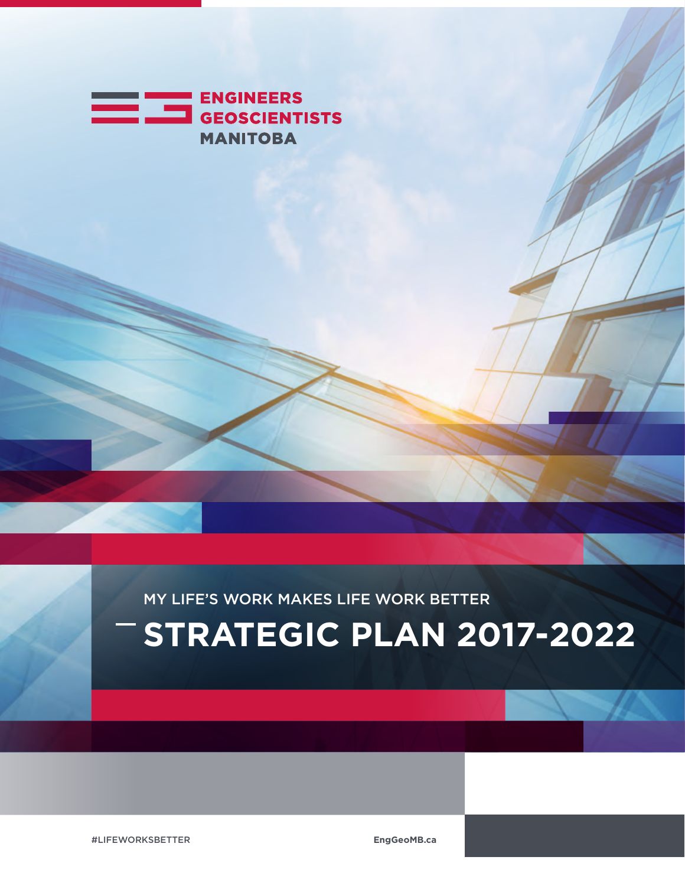

MY LIFE'S WORK MAKES LIFE WORK BETTER

**STRATEGIC PLAN 2017-2022**

#LIFEWORKSBETTER **EngGeoMB.ca**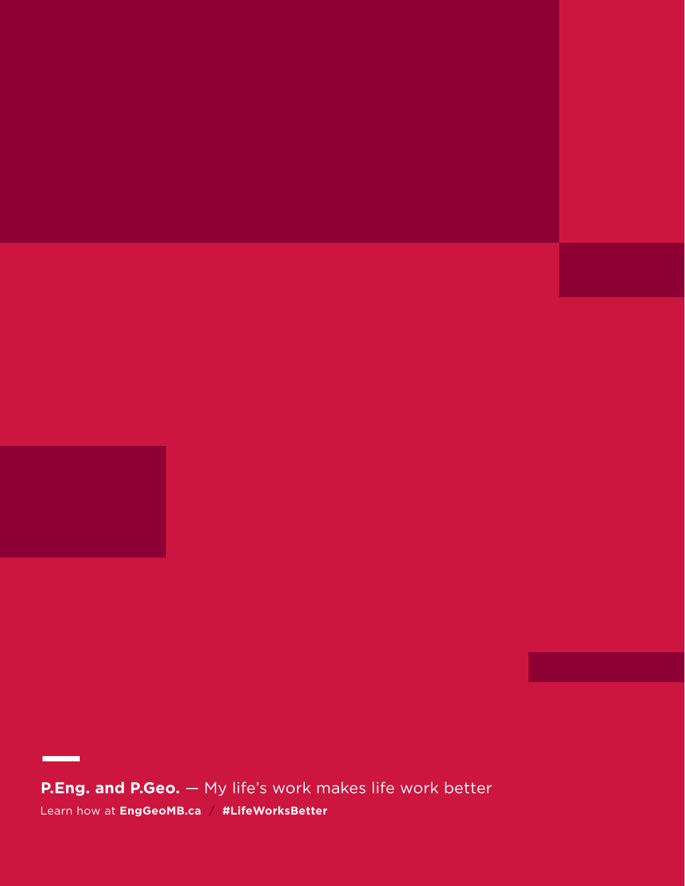Learn how at **EngGeoMB.ca / #LifeWorksBetter P.Eng. and P.Geo.** — My life's work makes life work better

**Contract Contract Contract Contract**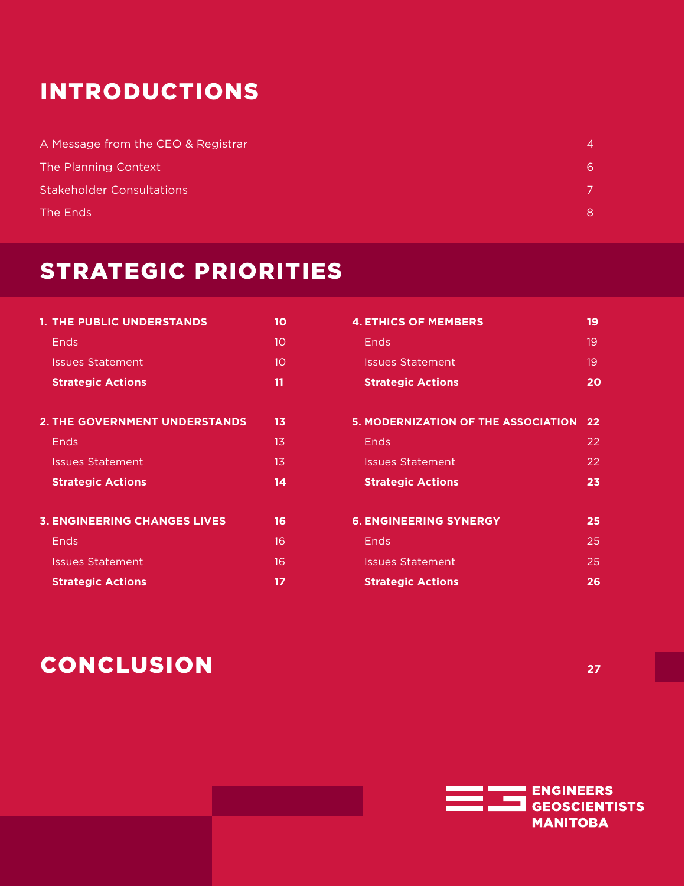# INTRODUCTIONS

| A Message from the CEO & Registrar | $\overline{4}$ |
|------------------------------------|----------------|
| The Planning Context               | 6.             |
| <b>Stakeholder Consultations</b>   |                |
| The Ends                           | 8.             |

# STRATEGIC PRIORITIES

| <b>1. THE PUBLIC UNDERSTANDS</b>     | 10 |
|--------------------------------------|----|
| Ends                                 | 10 |
| <b>Issues Statement</b>              | 10 |
| <b>Strategic Actions</b>             | 11 |
|                                      |    |
| <b>2. THE GOVERNMENT UNDERSTANDS</b> | 13 |
| Ends                                 | 13 |
| <b>Issues Statement</b>              | 13 |
| <b>Strategic Actions</b>             | 14 |
|                                      |    |
| <b>3. ENGINEERING CHANGES LIVES</b>  | 16 |
| Ends                                 | 16 |
| <b>Issues Statement</b>              | 16 |
| <b>Strategic Actions</b>             | 17 |
|                                      |    |

| <b>4. ETHICS OF MEMBERS</b>                | 19 |
|--------------------------------------------|----|
| Ends                                       | 19 |
| <b>Issues Statement</b>                    | 19 |
| <b>Strategic Actions</b>                   | 20 |
|                                            |    |
| <b>5. MODERNIZATION OF THE ASSOCIATION</b> | 22 |
| Ends                                       | 22 |
| <b>Issues Statement</b>                    | 22 |
| <b>Strategic Actions</b>                   | 23 |
|                                            |    |
| <b>6. ENGINEERING SYNERGY</b>              | 25 |
| Ends                                       | 25 |
| <b>Issues Statement</b>                    | 25 |
| <b>Strategic Actions</b>                   | 26 |



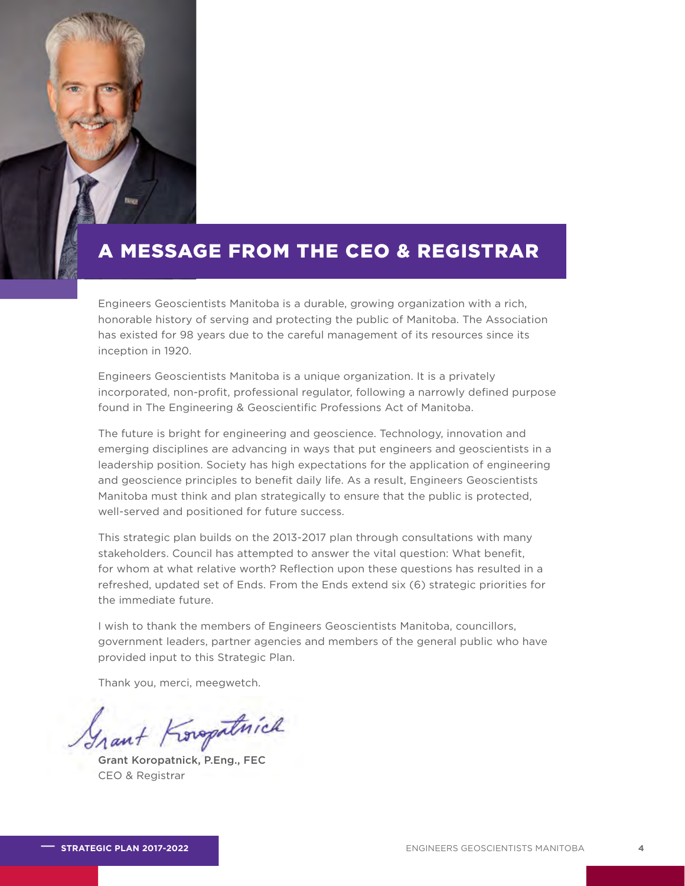# A MESSAGE FROM THE CEO & REGISTRAR

Engineers Geoscientists Manitoba is a durable, growing organization with a rich, honorable history of serving and protecting the public of Manitoba. The Association has existed for 98 years due to the careful management of its resources since its inception in 1920.

Engineers Geoscientists Manitoba is a unique organization. It is a privately incorporated, non-profit, professional regulator, following a narrowly defined purpose found in The Engineering & Geoscientific Professions Act of Manitoba.

The future is bright for engineering and geoscience. Technology, innovation and emerging disciplines are advancing in ways that put engineers and geoscientists in a leadership position. Society has high expectations for the application of engineering and geoscience principles to benefit daily life. As a result, Engineers Geoscientists Manitoba must think and plan strategically to ensure that the public is protected, well-served and positioned for future success.

This strategic plan builds on the 2013-2017 plan through consultations with many stakeholders. Council has attempted to answer the vital question: What benefit, for whom at what relative worth? Reflection upon these questions has resulted in a refreshed, updated set of Ends. From the Ends extend six (6) strategic priorities for the immediate future.

I wish to thank the members of Engineers Geoscientists Manitoba, councillors, government leaders, partner agencies and members of the general public who have provided input to this Strategic Plan.

Thank you, merci, meegwetch.

rant Konopatrick

Grant Koropatnick, P.Eng., FEC CEO & Registrar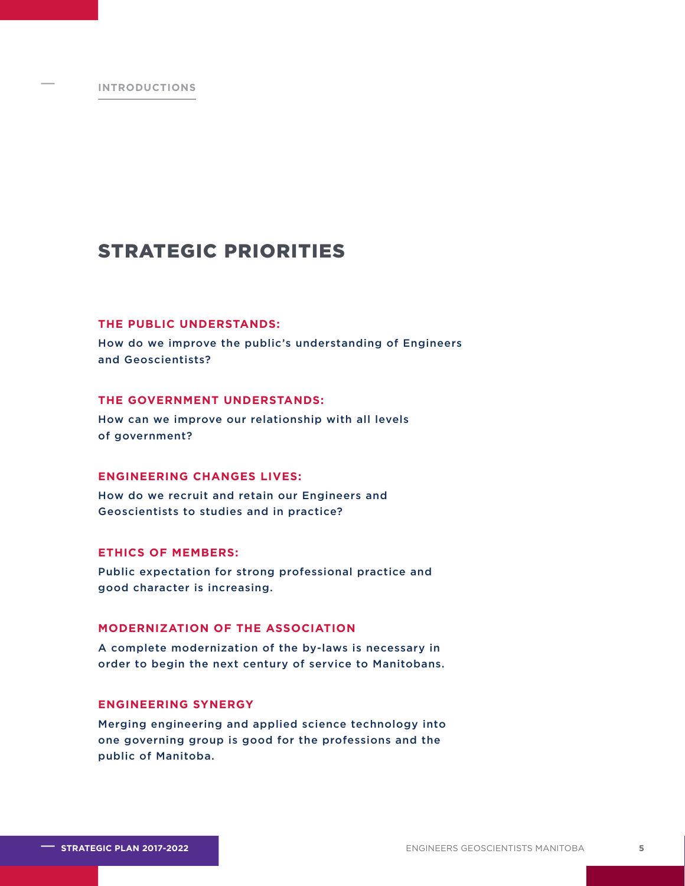### STRATEGIC PRIORITIES

#### **THE PUBLIC UNDERSTANDS:**

How do we improve the public's understanding of Engineers and Geoscientists?

#### **THE GOVERNMENT UNDERSTANDS:**

How can we improve our relationship with all levels of government?

#### **ENGINEERING CHANGES LIVES:**

How do we recruit and retain our Engineers and Geoscientists to studies and in practice?

#### **ETHICS OF MEMBERS:**

Public expectation for strong professional practice and good character is increasing.

#### **MODERNIZATION OF THE ASSOCIATION**

A complete modernization of the by-laws is necessary in order to begin the next century of service to Manitobans.

#### **ENGINEERING SYNERGY**

Merging engineering and applied science technology into one governing group is good for the professions and the public of Manitoba.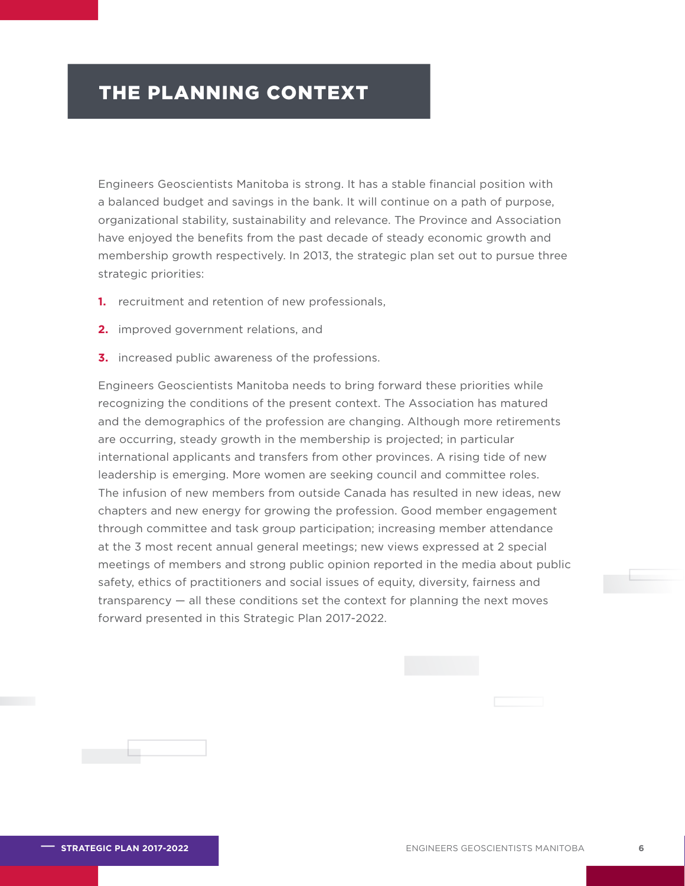# THE PLANNING CONTEXT

Engineers Geoscientists Manitoba is strong. It has a stable financial position with a balanced budget and savings in the bank. It will continue on a path of purpose, organizational stability, sustainability and relevance. The Province and Association have enjoyed the benefits from the past decade of steady economic growth and membership growth respectively. In 2013, the strategic plan set out to pursue three strategic priorities:

- **1.** recruitment and retention of new professionals,
- **2.** improved government relations, and
- **3.** increased public awareness of the professions.

Engineers Geoscientists Manitoba needs to bring forward these priorities while recognizing the conditions of the present context. The Association has matured and the demographics of the profession are changing. Although more retirements are occurring, steady growth in the membership is projected; in particular international applicants and transfers from other provinces. A rising tide of new leadership is emerging. More women are seeking council and committee roles. The infusion of new members from outside Canada has resulted in new ideas, new chapters and new energy for growing the profession. Good member engagement through committee and task group participation; increasing member attendance at the 3 most recent annual general meetings; new views expressed at 2 special meetings of members and strong public opinion reported in the media about public safety, ethics of practitioners and social issues of equity, diversity, fairness and transparency — all these conditions set the context for planning the next moves forward presented in this Strategic Plan 2017-2022.

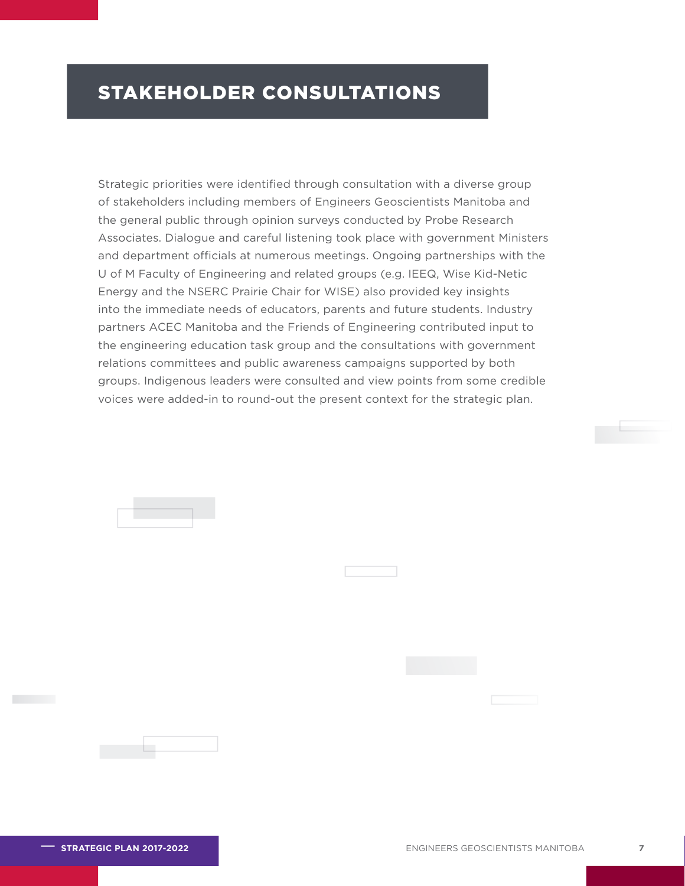## STAKEHOLDER CONSULTATIONS

Strategic priorities were identified through consultation with a diverse group of stakeholders including members of Engineers Geoscientists Manitoba and the general public through opinion surveys conducted by Probe Research Associates. Dialogue and careful listening took place with government Ministers and department officials at numerous meetings. Ongoing partnerships with the U of M Faculty of Engineering and related groups (e.g. IEEQ, Wise Kid-Netic Energy and the NSERC Prairie Chair for WISE) also provided key insights into the immediate needs of educators, parents and future students. Industry partners ACEC Manitoba and the Friends of Engineering contributed input to the engineering education task group and the consultations with government relations committees and public awareness campaigns supported by both groups. Indigenous leaders were consulted and view points from some credible voices were added-in to round-out the present context for the strategic plan.



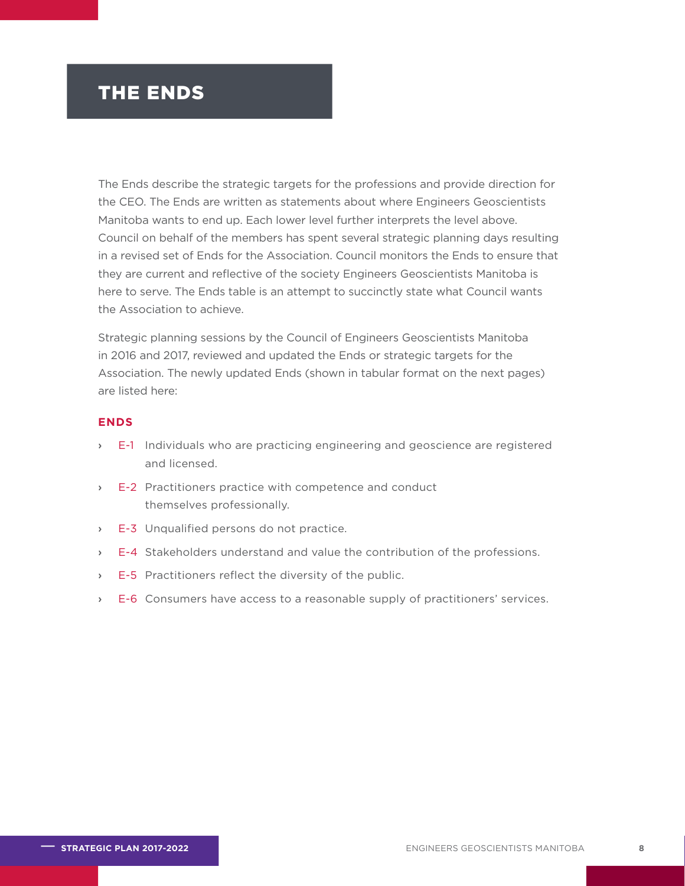## THE ENDS

The Ends describe the strategic targets for the professions and provide direction for the CEO. The Ends are written as statements about where Engineers Geoscientists Manitoba wants to end up. Each lower level further interprets the level above. Council on behalf of the members has spent several strategic planning days resulting in a revised set of Ends for the Association. Council monitors the Ends to ensure that they are current and reflective of the society Engineers Geoscientists Manitoba is here to serve. The Ends table is an attempt to succinctly state what Council wants the Association to achieve.

Strategic planning sessions by the Council of Engineers Geoscientists Manitoba in 2016 and 2017, reviewed and updated the Ends or strategic targets for the Association. The newly updated Ends (shown in tabular format on the next pages) are listed here:

#### **ENDS**

- › E-1 Individuals who are practicing engineering and geoscience are registered and licensed.
- **E-2** Practitioners practice with competence and conduct themselves professionally.
- › E-3 Unqualified persons do not practice.
- › E-4 Stakeholders understand and value the contribution of the professions.
- › E-5 Practitioners reflect the diversity of the public.
- › E-6 Consumers have access to a reasonable supply of practitioners' services.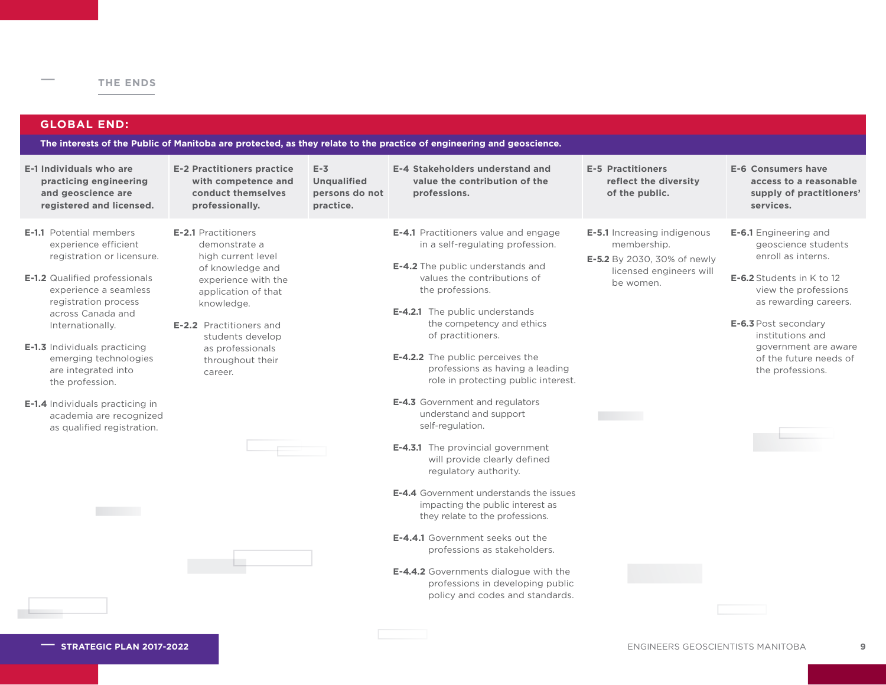#### **GLOBAL END:**

#### **The interests of the Public of Manitoba are protected, as they relate to the practice of engineering and geoscience.**

- **E-1 Individuals who are practicing engineering and geoscience are registered and licensed. E-2 Practitioners practice with competence and conduct themselves professionally. E-3 Unqualified persons do not practice. E-4 Stakeholders understand and value the contribution of the professions. E-1.1** Potential members experience efficient registration or licensure. **E-1.2** Qualified professionals experience a seamless registration process across Canada and Internationally. **E-1.3** Individuals practicing emerging technologies are integrated into the profession. **E-1.4** Individuals practicing in academia are recognized as qualified registration. **E-2.1** Practitioners demonstrate a high current level of knowledge and experience with the application of that knowledge. **E-2.2** Practitioners and students develop as professionals throughout their career. **E-4.1** Practitioners value and engage in a self-regulating profession. **E-4.2** The public understands and values the contributions of the professions. **E-4.2.1** The public understands the competency and ethics of practitioners. **E-4.2.2** The public perceives the professions as having a leading role in protecting public interest. **E-4.3** Government and regulators understand and support self-regulation. **E-4.3.1** The provincial government will provide clearly defined regulatory authority.
	- **E-4.4** Government understands the issues impacting the public interest as they relate to the professions.
	- **E-4.4.1** Government seeks out the professions as stakeholders.
	- **E-4.4.2** Governments dialogue with the professions in developing public policy and codes and standards.

| <b>E-5 Practitioners</b> |
|--------------------------|
| reflect the diversity    |
| of the public.           |

**E-5.1** Increasing indigenous membership. **E-5.2** By 2030, 30% of newly licensed engineers will

be women.

- **E-6 Consumers have access to a reasonable supply of practitioners' services.**
- **E-6.1** Engineering and geoscience students enroll as interns.
- **E-6.2** Students in K to 12 view the professions as rewarding careers.
- **E-6.3** Post secondary institutions and government are aware of the future needs of the professions.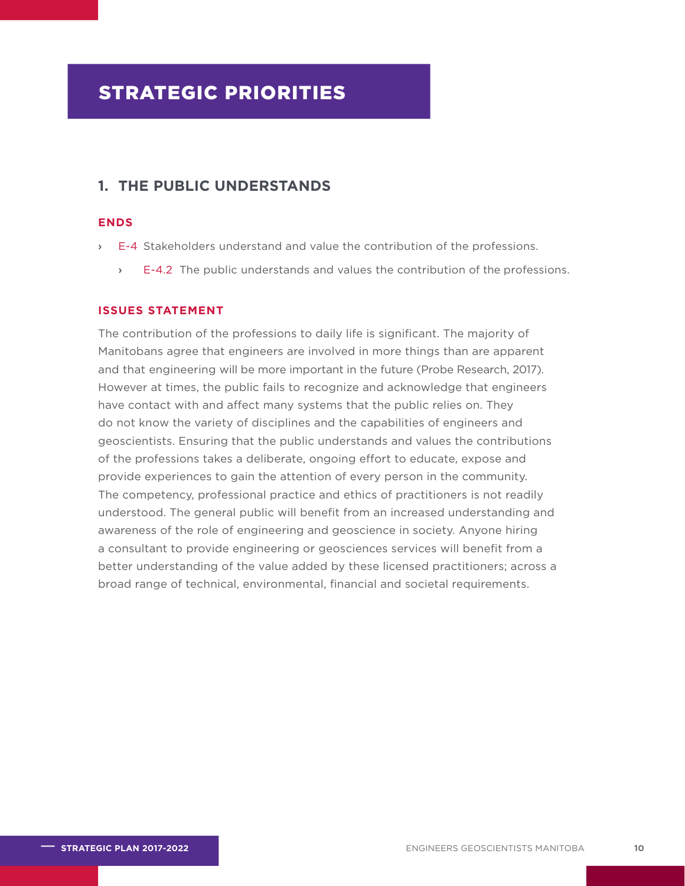# STRATEGIC PRIORITIES

### **1. THE PUBLIC UNDERSTANDS**

#### **ENDS**

- › E-4 Stakeholders understand and value the contribution of the professions.
	- › E-4.2 The public understands and values the contribution of the professions.

#### **ISSUES STATEMENT**

The contribution of the professions to daily life is significant. The majority of Manitobans agree that engineers are involved in more things than are apparent and that engineering will be more important in the future (Probe Research, 2017). However at times, the public fails to recognize and acknowledge that engineers have contact with and affect many systems that the public relies on. They do not know the variety of disciplines and the capabilities of engineers and geoscientists. Ensuring that the public understands and values the contributions of the professions takes a deliberate, ongoing effort to educate, expose and provide experiences to gain the attention of every person in the community. The competency, professional practice and ethics of practitioners is not readily understood. The general public will benefit from an increased understanding and awareness of the role of engineering and geoscience in society. Anyone hiring a consultant to provide engineering or geosciences services will benefit from a better understanding of the value added by these licensed practitioners; across a broad range of technical, environmental, financial and societal requirements.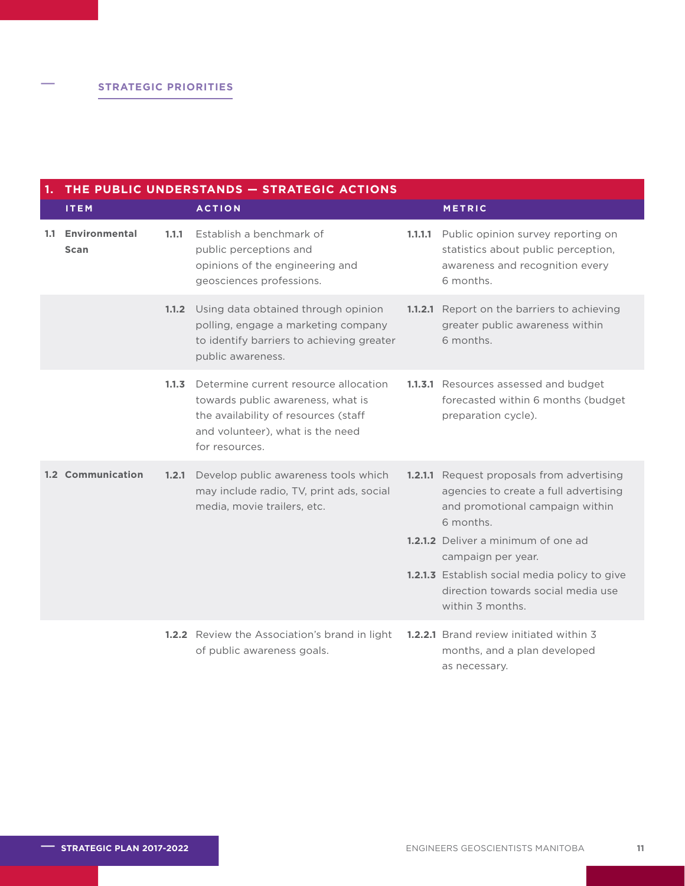| 1. | THE PUBLIC UNDERSTANDS - STRATEGIC ACTIONS |                                                                                                                                                    |                                                                                                                                                                                |         |                                                                                                                                                                                                                                                          |
|----|--------------------------------------------|----------------------------------------------------------------------------------------------------------------------------------------------------|--------------------------------------------------------------------------------------------------------------------------------------------------------------------------------|---------|----------------------------------------------------------------------------------------------------------------------------------------------------------------------------------------------------------------------------------------------------------|
|    | <b>ITEM</b>                                |                                                                                                                                                    | <b>ACTION</b>                                                                                                                                                                  |         | <b>METRIC</b>                                                                                                                                                                                                                                            |
|    | 1.1 Environmental<br>1.1.1<br><b>Scan</b>  |                                                                                                                                                    | Establish a benchmark of<br>public perceptions and<br>opinions of the engineering and<br>geosciences professions.                                                              | 1.1.1.1 | Public opinion survey reporting on<br>statistics about public perception,<br>awareness and recognition every<br>6 months.                                                                                                                                |
|    |                                            | 1.1.2 Using data obtained through opinion<br>polling, engage a marketing company<br>to identify barriers to achieving greater<br>public awareness. |                                                                                                                                                                                |         | 1.1.2.1 Report on the barriers to achieving<br>greater public awareness within<br>6 months.                                                                                                                                                              |
|    |                                            |                                                                                                                                                    | 1.1.3 Determine current resource allocation<br>towards public awareness, what is<br>the availability of resources (staff<br>and volunteer), what is the need<br>for resources. |         | <b>1.1.3.1</b> Resources assessed and budget<br>forecasted within 6 months (budget<br>preparation cycle).                                                                                                                                                |
|    | 1.2 Communication<br>1,2.1                 |                                                                                                                                                    | Develop public awareness tools which<br>may include radio, TV, print ads, social<br>media, movie trailers, etc.                                                                |         | <b>1.2.1.1</b> Request proposals from advertising<br>agencies to create a full advertising<br>and promotional campaign within<br>6 months.<br>1.2.1.2 Deliver a minimum of one ad<br>campaign per year.<br>1.2.1.3 Establish social media policy to give |
|    |                                            |                                                                                                                                                    |                                                                                                                                                                                |         | direction towards social media use<br>within 3 months.                                                                                                                                                                                                   |
|    |                                            |                                                                                                                                                    | 1.2.2 Review the Association's brand in light<br>of public awareness goals.                                                                                                    |         | 1.2.2.1 Brand review initiated within 3<br>months, and a plan developed<br>as necessary.                                                                                                                                                                 |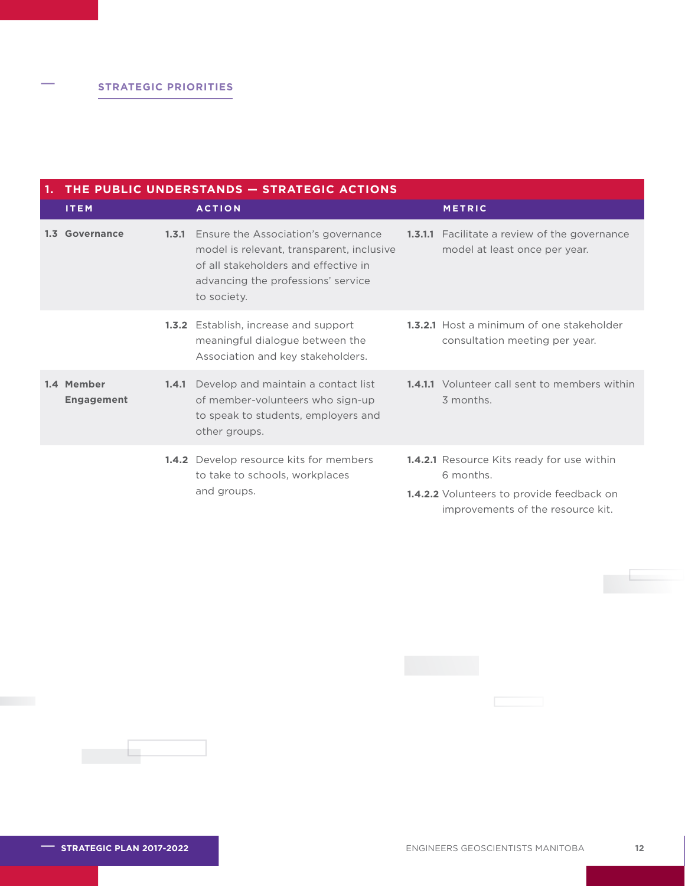|                                 | THE PUBLIC UNDERSTANDS - STRATEGIC ACTIONS |       |                                                                                                                                                                                            |  |                                                                                                                                                         |  |  |  |
|---------------------------------|--------------------------------------------|-------|--------------------------------------------------------------------------------------------------------------------------------------------------------------------------------------------|--|---------------------------------------------------------------------------------------------------------------------------------------------------------|--|--|--|
|                                 | <b>ACTION</b><br><b>ITEM</b>               |       | <b>METRIC</b>                                                                                                                                                                              |  |                                                                                                                                                         |  |  |  |
|                                 | 1.3 Governance                             |       | <b>1.3.1</b> Ensure the Association's governance<br>model is relevant, transparent, inclusive<br>of all stakeholders and effective in<br>advancing the professions' service<br>to society. |  | <b>1.3.1.1</b> Facilitate a review of the governance<br>model at least once per year.                                                                   |  |  |  |
|                                 |                                            |       | <b>1.3.2</b> Establish, increase and support<br>meaningful dialogue between the<br>Association and key stakeholders.                                                                       |  | <b>1.3.2.1</b> Host a minimum of one stakeholder<br>consultation meeting per year.                                                                      |  |  |  |
| 1.4 Member<br><b>Engagement</b> |                                            | 1.4.1 | Develop and maintain a contact list<br>of member-volunteers who sign-up<br>to speak to students, employers and<br>other groups.                                                            |  | <b>1.4.1.1</b> Volunteer call sent to members within<br>3 months.                                                                                       |  |  |  |
|                                 |                                            |       | <b>1.4.2</b> Develop resource kits for members<br>to take to schools, workplaces<br>and groups.                                                                                            |  | <b>1.4.2.1</b> Resource Kits ready for use within<br>6 months.<br><b>1.4.2.2</b> Volunteers to provide feedback on<br>improvements of the resource kit. |  |  |  |

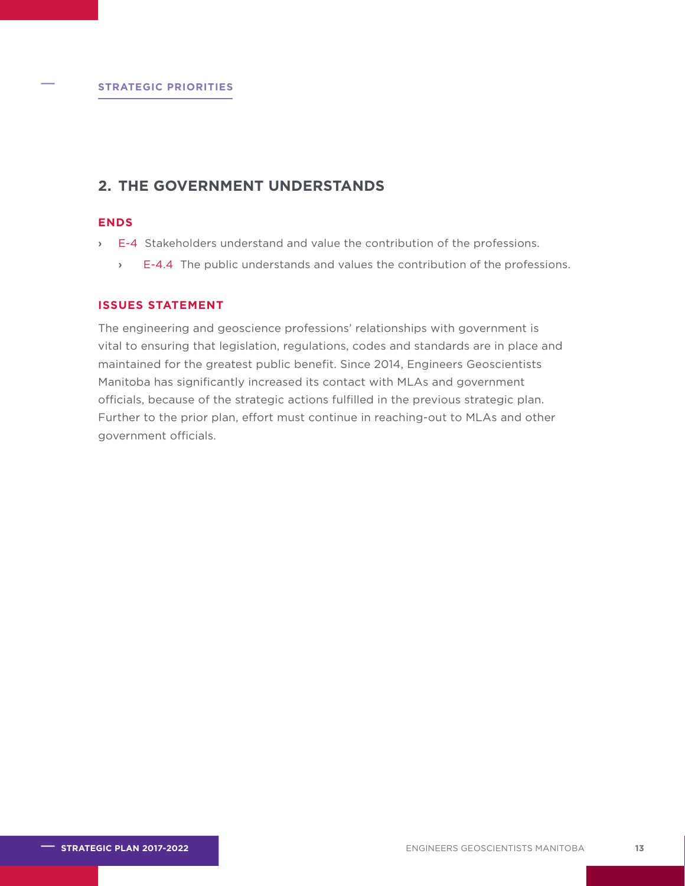### **2. THE GOVERNMENT UNDERSTANDS**

#### **ENDS**

**—**

- › E-4 Stakeholders understand and value the contribution of the professions.
	- › E-4.4 The public understands and values the contribution of the professions.

#### **ISSUES STATEMENT**

The engineering and geoscience professions' relationships with government is vital to ensuring that legislation, regulations, codes and standards are in place and maintained for the greatest public benefit. Since 2014, Engineers Geoscientists Manitoba has significantly increased its contact with MLAs and government officials, because of the strategic actions fulfilled in the previous strategic plan. Further to the prior plan, effort must continue in reaching-out to MLAs and other government officials.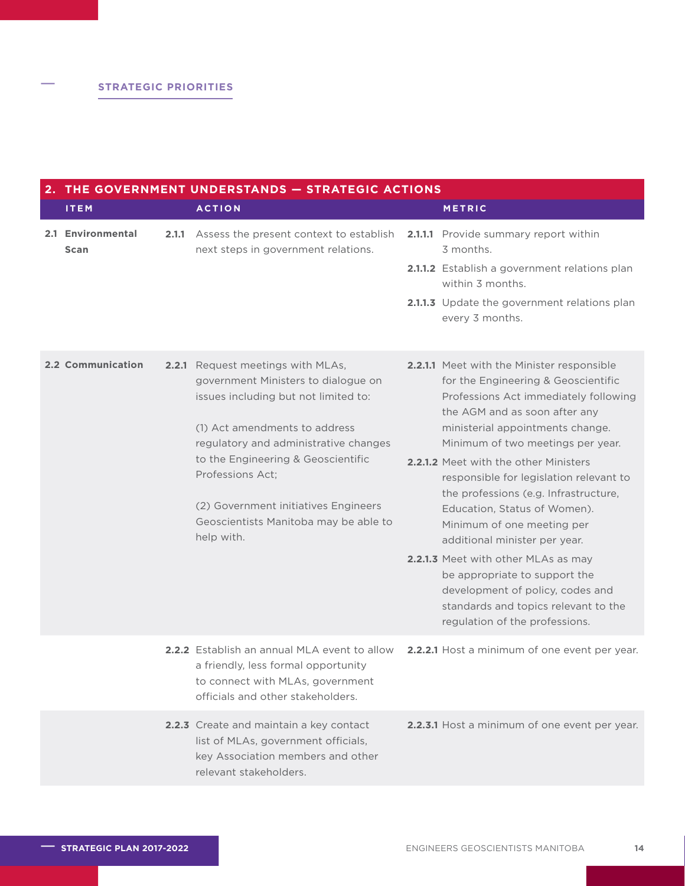| 2. THE GOVERNMENT UNDERSTANDS - STRATEGIC ACTIONS |  |                                                                                                                                                                                                                                                                                                                                                     |  |                                                                                                                                                                                                                                                                                                                                                                                                                                                                                                                                                                                                                                                        |  |  |  |
|---------------------------------------------------|--|-----------------------------------------------------------------------------------------------------------------------------------------------------------------------------------------------------------------------------------------------------------------------------------------------------------------------------------------------------|--|--------------------------------------------------------------------------------------------------------------------------------------------------------------------------------------------------------------------------------------------------------------------------------------------------------------------------------------------------------------------------------------------------------------------------------------------------------------------------------------------------------------------------------------------------------------------------------------------------------------------------------------------------------|--|--|--|
| <b>ITEM</b>                                       |  | <b>ACTION</b>                                                                                                                                                                                                                                                                                                                                       |  | <b>METRIC</b>                                                                                                                                                                                                                                                                                                                                                                                                                                                                                                                                                                                                                                          |  |  |  |
| 2.1 Environmental<br><b>Scan</b>                  |  | 2.1.1 Assess the present context to establish<br>next steps in government relations.                                                                                                                                                                                                                                                                |  | 2.1.1.1 Provide summary report within<br>3 months.<br>2.1.1.2 Establish a government relations plan<br>within 3 months.<br>2.1.1.3 Update the government relations plan<br>every 3 months.                                                                                                                                                                                                                                                                                                                                                                                                                                                             |  |  |  |
| 2.2 Communication                                 |  | 2.2.1 Request meetings with MLAs,<br>government Ministers to dialogue on<br>issues including but not limited to:<br>(1) Act amendments to address<br>regulatory and administrative changes<br>to the Engineering & Geoscientific<br>Professions Act;<br>(2) Government initiatives Engineers<br>Geoscientists Manitoba may be able to<br>help with. |  | 2.2.1.1 Meet with the Minister responsible<br>for the Engineering & Geoscientific<br>Professions Act immediately following<br>the AGM and as soon after any<br>ministerial appointments change.<br>Minimum of two meetings per year.<br>2.2.1.2 Meet with the other Ministers<br>responsible for legislation relevant to<br>the professions (e.g. Infrastructure,<br>Education, Status of Women).<br>Minimum of one meeting per<br>additional minister per year.<br>2.2.1.3 Meet with other MLAs as may<br>be appropriate to support the<br>development of policy, codes and<br>standards and topics relevant to the<br>regulation of the professions. |  |  |  |
|                                                   |  | 2.2.2 Establish an annual MLA event to allow<br>a friendly, less formal opportunity<br>to connect with MLAs, government<br>officials and other stakeholders.                                                                                                                                                                                        |  | 2.2.2.1 Host a minimum of one event per year.                                                                                                                                                                                                                                                                                                                                                                                                                                                                                                                                                                                                          |  |  |  |
|                                                   |  | 2.2.3 Create and maintain a key contact<br>list of MLAs, government officials,<br>key Association members and other<br>relevant stakeholders.                                                                                                                                                                                                       |  | 2.2.3.1 Host a minimum of one event per year.                                                                                                                                                                                                                                                                                                                                                                                                                                                                                                                                                                                                          |  |  |  |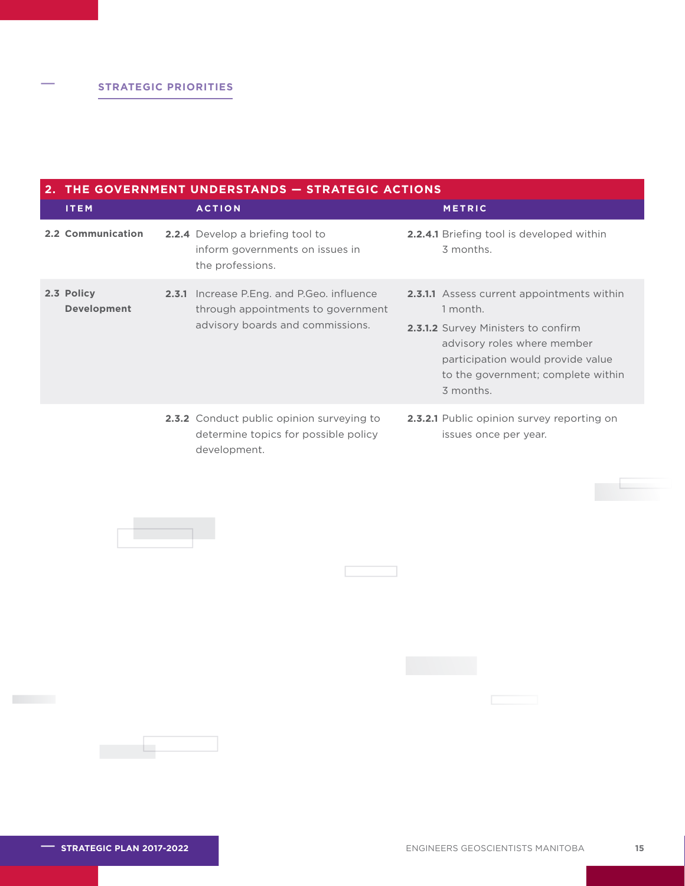|                                  | 2. THE GOVERNMENT UNDERSTANDS - STRATEGIC ACTIONS                                                                           |                                                                                                                                                                                                                             |  |  |  |  |  |  |  |
|----------------------------------|-----------------------------------------------------------------------------------------------------------------------------|-----------------------------------------------------------------------------------------------------------------------------------------------------------------------------------------------------------------------------|--|--|--|--|--|--|--|
| <b>ITEM</b>                      | <b>ACTION</b>                                                                                                               | <b>METRIC</b>                                                                                                                                                                                                               |  |  |  |  |  |  |  |
| 2.2 Communication                | 2.2.4 Develop a briefing tool to<br>inform governments on issues in<br>the professions.                                     | 2.2.4.1 Briefing tool is developed within<br>3 months.                                                                                                                                                                      |  |  |  |  |  |  |  |
| 2.3 Policy<br><b>Development</b> | <b>2.3.1</b> Increase P.Eng. and P.Geo. influence<br>through appointments to government<br>advisory boards and commissions. | <b>2.3.1.1</b> Assess current appointments within<br>1 month.<br>2.3.1.2 Survey Ministers to confirm<br>advisory roles where member<br>participation would provide value<br>to the government; complete within<br>3 months. |  |  |  |  |  |  |  |
|                                  | 2.3.2 Conduct public opinion surveying to<br>determine topics for possible policy<br>development.                           | <b>2.3.2.1</b> Public opinion survey reporting on<br>issues once per year.                                                                                                                                                  |  |  |  |  |  |  |  |





**Contract Contract**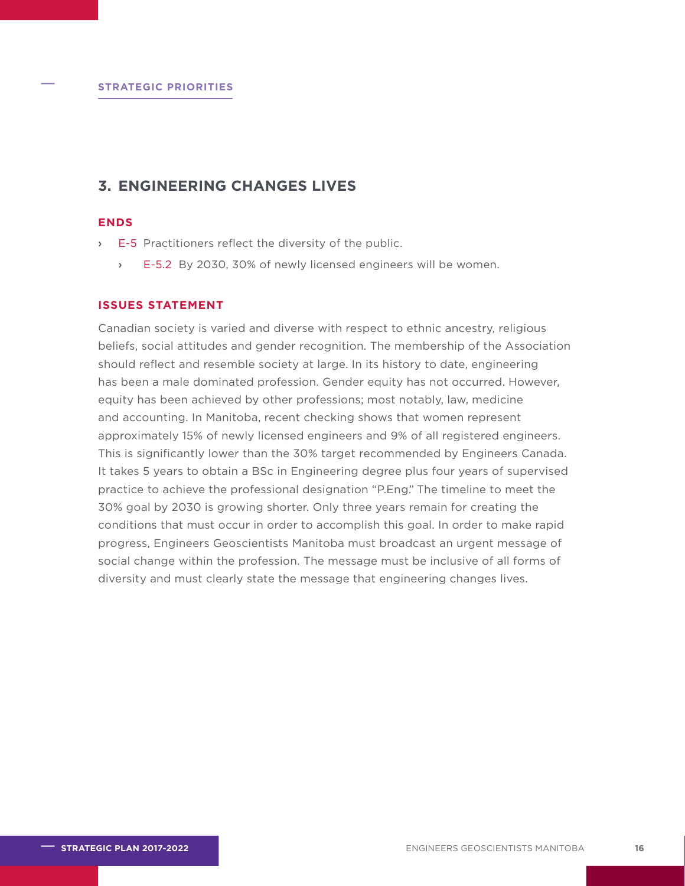### **3. ENGINEERING CHANGES LIVES**

#### **ENDS**

**—**

- **E-5** Practitioners reflect the diversity of the public.
	- › E-5.2 By 2030, 30% of newly licensed engineers will be women.

#### **ISSUES STATEMENT**

Canadian society is varied and diverse with respect to ethnic ancestry, religious beliefs, social attitudes and gender recognition. The membership of the Association should reflect and resemble society at large. In its history to date, engineering has been a male dominated profession. Gender equity has not occurred. However, equity has been achieved by other professions; most notably, law, medicine and accounting. In Manitoba, recent checking shows that women represent approximately 15% of newly licensed engineers and 9% of all registered engineers. This is significantly lower than the 30% target recommended by Engineers Canada. It takes 5 years to obtain a BSc in Engineering degree plus four years of supervised practice to achieve the professional designation "P.Eng." The timeline to meet the 30% goal by 2030 is growing shorter. Only three years remain for creating the conditions that must occur in order to accomplish this goal. In order to make rapid progress, Engineers Geoscientists Manitoba must broadcast an urgent message of social change within the profession. The message must be inclusive of all forms of diversity and must clearly state the message that engineering changes lives.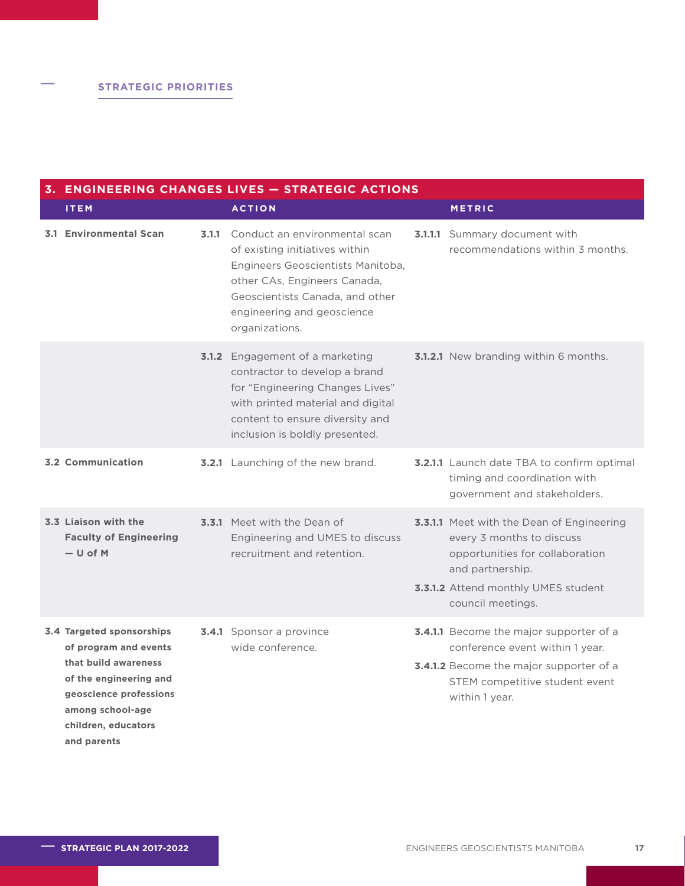| 3. ENGINEERING CHANGES LIVES - STRATEGIC ACTIONS                                                                                                                          |  |                                                                                                                                                                                                                         |  |                                                                                                                                                                                           |  |
|---------------------------------------------------------------------------------------------------------------------------------------------------------------------------|--|-------------------------------------------------------------------------------------------------------------------------------------------------------------------------------------------------------------------------|--|-------------------------------------------------------------------------------------------------------------------------------------------------------------------------------------------|--|
| <b>ITEM</b>                                                                                                                                                               |  | <b>ACTION</b>                                                                                                                                                                                                           |  | <b>METRIC</b>                                                                                                                                                                             |  |
| 3.1 Environmental Scan<br>3.1.1                                                                                                                                           |  | Conduct an environmental scan<br>of existing initiatives within<br>Engineers Geoscientists Manitoba,<br>other CAs, Engineers Canada,<br>Geoscientists Canada, and other<br>engineering and geoscience<br>organizations. |  | 3.1.1.1 Summary document with<br>recommendations within 3 months.                                                                                                                         |  |
|                                                                                                                                                                           |  | 3.1.2 Engagement of a marketing<br>contractor to develop a brand<br>for "Engineering Changes Lives"<br>with printed material and digital<br>content to ensure diversity and<br>inclusion is boldly presented.           |  | 3.1.2.1 New branding within 6 months.                                                                                                                                                     |  |
| <b>3.2 Communication</b>                                                                                                                                                  |  | 3.2.1 Launching of the new brand.                                                                                                                                                                                       |  | 3.2.1.1 Launch date TBA to confirm optimal<br>timing and coordination with<br>government and stakeholders.                                                                                |  |
| 3.3 Liaison with the<br><b>Faculty of Engineering</b><br>$-$ U of M                                                                                                       |  | 3.3.1 Meet with the Dean of<br>Engineering and UMES to discuss<br>recruitment and retention.                                                                                                                            |  | 3.3.1.1 Meet with the Dean of Engineering<br>every 3 months to discuss<br>opportunities for collaboration<br>and partnership.<br>3.3.1.2 Attend monthly UMES student<br>council meetings. |  |
| 3.4 Targeted sponsorships<br>of program and events<br>that build awareness<br>of the engineering and<br>geoscience professions<br>among school-age<br>children, educators |  | 3.4.1 Sponsor a province<br>wide conference.                                                                                                                                                                            |  | 3.4.1.1 Become the major supporter of a<br>conference event within 1 year.<br>3.4.1.2 Become the major supporter of a<br>STEM competitive student event<br>within 1 year.                 |  |

**and parents**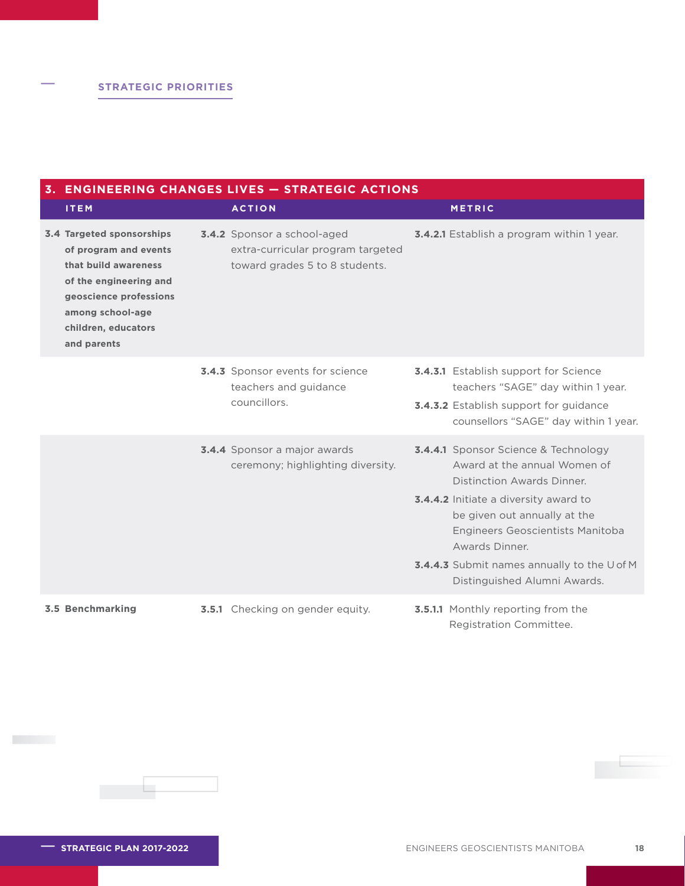| 3. ENGINEERING CHANGES LIVES - STRATEGIC ACTIONS                                                                                                                                         |  |                                                                                                    |  |                                                                                                                                                                                                                                                                                                                  |  |
|------------------------------------------------------------------------------------------------------------------------------------------------------------------------------------------|--|----------------------------------------------------------------------------------------------------|--|------------------------------------------------------------------------------------------------------------------------------------------------------------------------------------------------------------------------------------------------------------------------------------------------------------------|--|
| <b>ITEM</b>                                                                                                                                                                              |  | <b>ACTION</b>                                                                                      |  | <b>METRIC</b>                                                                                                                                                                                                                                                                                                    |  |
| 3.4 Targeted sponsorships<br>of program and events<br>that build awareness<br>of the engineering and<br>geoscience professions<br>among school-age<br>children, educators<br>and parents |  | 3.4.2 Sponsor a school-aged<br>extra-curricular program targeted<br>toward grades 5 to 8 students. |  | <b>3.4.2.1</b> Establish a program within 1 year.                                                                                                                                                                                                                                                                |  |
|                                                                                                                                                                                          |  | 3.4.3 Sponsor events for science<br>teachers and guidance<br>councillors.                          |  | 3.4.3.1 Establish support for Science<br>teachers "SAGE" day within 1 year.<br>3.4.3.2 Establish support for guidance<br>counsellors "SAGE" day within 1 year.                                                                                                                                                   |  |
|                                                                                                                                                                                          |  | 3.4.4 Sponsor a major awards<br>ceremony; highlighting diversity.                                  |  | 3.4.4.1 Sponsor Science & Technology<br>Award at the annual Women of<br>Distinction Awards Dinner.<br>3.4.4.2 Initiate a diversity award to<br>be given out annually at the<br>Engineers Geoscientists Manitoba<br>Awards Dinner.<br>3.4.4.3 Submit names annually to the U of M<br>Distinguished Alumni Awards. |  |
| 3.5 Benchmarking                                                                                                                                                                         |  | 3.5.1 Checking on gender equity.                                                                   |  | 3.5.1.1 Monthly reporting from the<br>Registration Committee.                                                                                                                                                                                                                                                    |  |

**College** 

**The Common**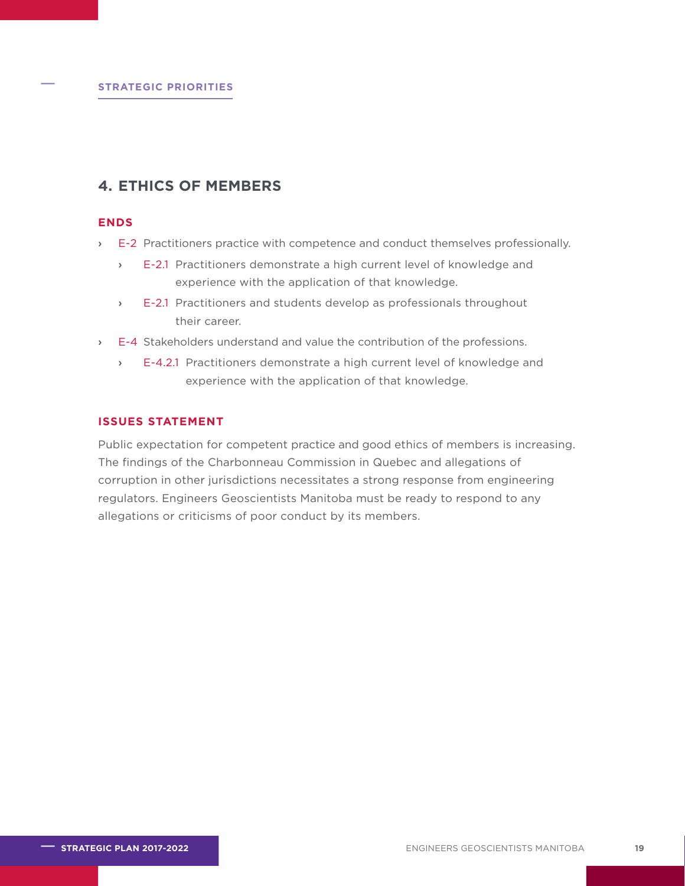### **4. ETHICS OF MEMBERS**

#### **ENDS**

**—**

- › E-2 Practitioners practice with competence and conduct themselves professionally.
	- › E-2.1 Practitioners demonstrate a high current level of knowledge and experience with the application of that knowledge.
	- › E-2.1 Practitioners and students develop as professionals throughout their career.
- › E-4 Stakeholders understand and value the contribution of the professions.
	- › E-4.2.1 Practitioners demonstrate a high current level of knowledge and experience with the application of that knowledge.

#### **ISSUES STATEMENT**

Public expectation for competent practice and good ethics of members is increasing. The findings of the Charbonneau Commission in Quebec and allegations of corruption in other jurisdictions necessitates a strong response from engineering regulators. Engineers Geoscientists Manitoba must be ready to respond to any allegations or criticisms of poor conduct by its members.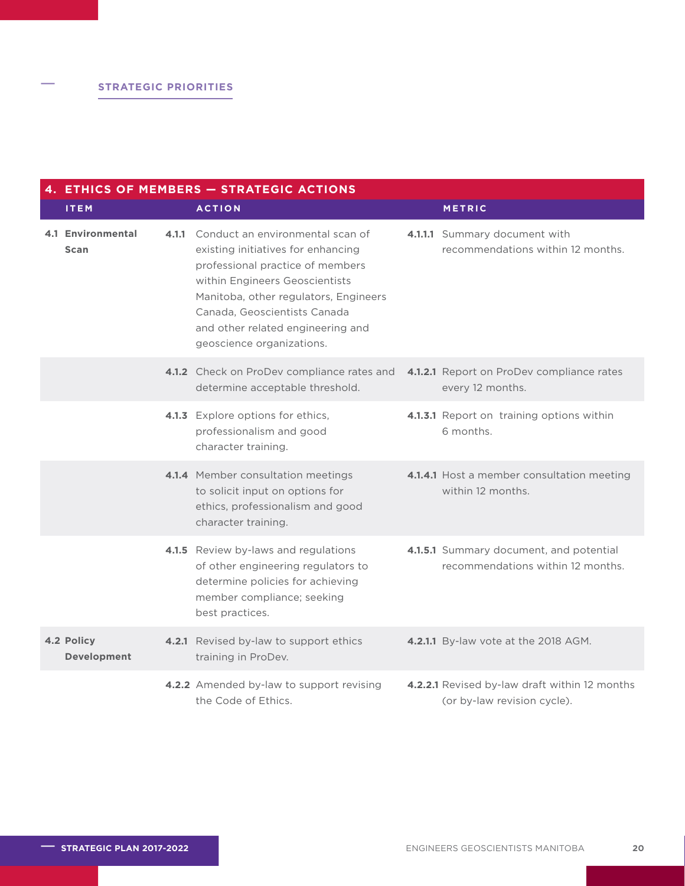|             | 4. ETHICS OF MEMBERS - STRATEGIC ACTIONS |  |                                                                                                                                                                                                                                                                                               |               |                                                                              |
|-------------|------------------------------------------|--|-----------------------------------------------------------------------------------------------------------------------------------------------------------------------------------------------------------------------------------------------------------------------------------------------|---------------|------------------------------------------------------------------------------|
| <b>ITEM</b> |                                          |  | <b>ACTION</b>                                                                                                                                                                                                                                                                                 | <b>METRIC</b> |                                                                              |
|             | <b>4.1 Environmental</b><br><b>Scan</b>  |  | 4.1.1 Conduct an environmental scan of<br>existing initiatives for enhancing<br>professional practice of members<br>within Engineers Geoscientists<br>Manitoba, other regulators, Engineers<br>Canada, Geoscientists Canada<br>and other related engineering and<br>geoscience organizations. |               | 4.1.1.1 Summary document with<br>recommendations within 12 months.           |
|             |                                          |  | 4.1.2 Check on ProDev compliance rates and<br>determine acceptable threshold.                                                                                                                                                                                                                 |               | 4.1.2.1 Report on ProDev compliance rates<br>every 12 months.                |
|             |                                          |  | 4.1.3 Explore options for ethics,<br>professionalism and good<br>character training.                                                                                                                                                                                                          |               | 4.1.3.1 Report on training options within<br>6 months.                       |
|             |                                          |  | 4.1.4 Member consultation meetings<br>to solicit input on options for<br>ethics, professionalism and good<br>character training.                                                                                                                                                              |               | 4.1.4.1 Host a member consultation meeting<br>within 12 months.              |
|             |                                          |  | 4.1.5 Review by-laws and regulations<br>of other engineering regulators to<br>determine policies for achieving<br>member compliance; seeking<br>best practices.                                                                                                                               |               | 4.1.5.1 Summary document, and potential<br>recommendations within 12 months. |
|             | 4.2 Policy<br>Development                |  | 4.2.1 Revised by-law to support ethics<br>training in ProDev.                                                                                                                                                                                                                                 |               | 4.2.1.1 By-law vote at the 2018 AGM.                                         |
|             |                                          |  | 4.2.2 Amended by-law to support revising<br>the Code of Ethics.                                                                                                                                                                                                                               |               | 4.2.2.1 Revised by-law draft within 12 months<br>(or by-law revision cycle). |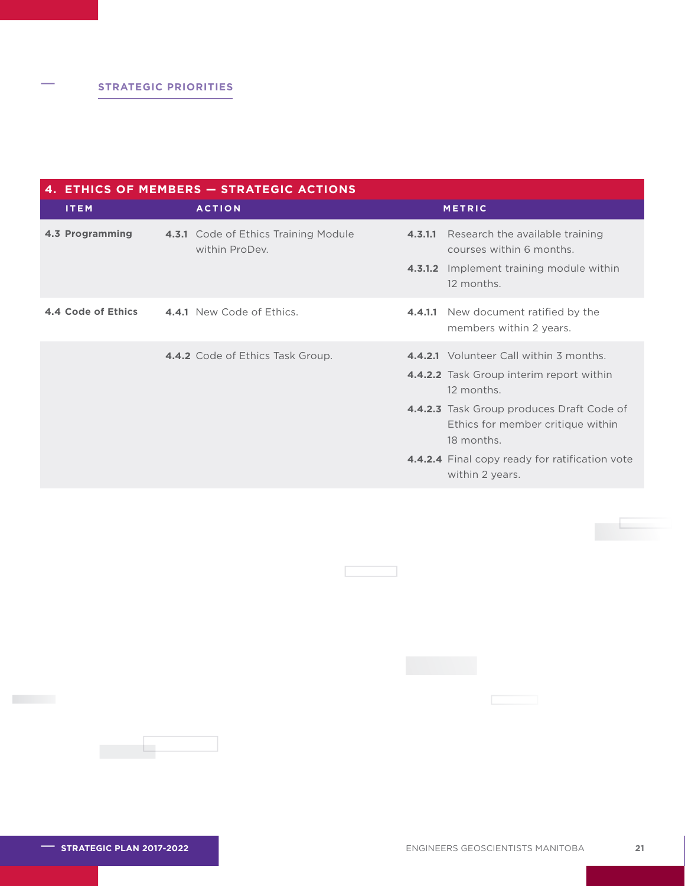| 4. ETHICS OF MEMBERS - STRATEGIC ACTIONS |                                                               |                                                                                                                                                                                                          |  |  |  |  |  |
|------------------------------------------|---------------------------------------------------------------|----------------------------------------------------------------------------------------------------------------------------------------------------------------------------------------------------------|--|--|--|--|--|
| <b>ITEM</b>                              | <b>ACTION</b>                                                 | <b>METRIC</b>                                                                                                                                                                                            |  |  |  |  |  |
| 4.3 Programming                          | <b>4.3.1</b> Code of Ethics Training Module<br>within ProDev. | Research the available training<br>4.3.1.1<br>courses within 6 months.<br>4.3.1.2 Implement training module within<br>12 months.                                                                         |  |  |  |  |  |
| 4.4 Code of Ethics                       | 4.4.1 New Code of Ethics.                                     | New document ratified by the<br>4.4.1.1<br>members within 2 years.                                                                                                                                       |  |  |  |  |  |
|                                          | <b>4.4.2</b> Code of Ethics Task Group.                       | 4.4.2.1 Volunteer Call within 3 months.<br>4.4.2.2 Task Group interim report within<br>12 months.<br><b>4.4.2.3</b> Task Group produces Draft Code of<br>Ethics for member critique within<br>18 months. |  |  |  |  |  |
|                                          |                                                               | 4.4.2.4 Final copy ready for ratification vote<br>within 2 years.                                                                                                                                        |  |  |  |  |  |

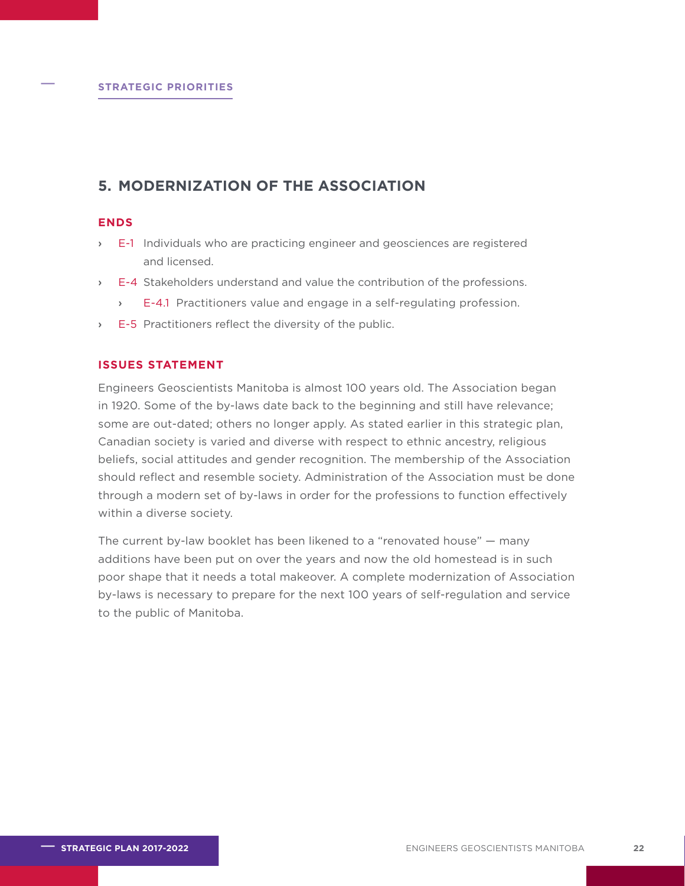### **5. MODERNIZATION OF THE ASSOCIATION**

#### **ENDS**

**—**

- › E-1 Individuals who are practicing engineer and geosciences are registered and licensed.
- › E-4 Stakeholders understand and value the contribution of the professions.
	- › E-4.1 Practitioners value and engage in a self-regulating profession.
- **E-5** Practitioners reflect the diversity of the public.

#### **ISSUES STATEMENT**

Engineers Geoscientists Manitoba is almost 100 years old. The Association began in 1920. Some of the by-laws date back to the beginning and still have relevance; some are out-dated; others no longer apply. As stated earlier in this strategic plan, Canadian society is varied and diverse with respect to ethnic ancestry, religious beliefs, social attitudes and gender recognition. The membership of the Association should reflect and resemble society. Administration of the Association must be done through a modern set of by-laws in order for the professions to function effectively within a diverse society.

The current by-law booklet has been likened to a "renovated house" — many additions have been put on over the years and now the old homestead is in such poor shape that it needs a total makeover. A complete modernization of Association by-laws is necessary to prepare for the next 100 years of self-regulation and service to the public of Manitoba.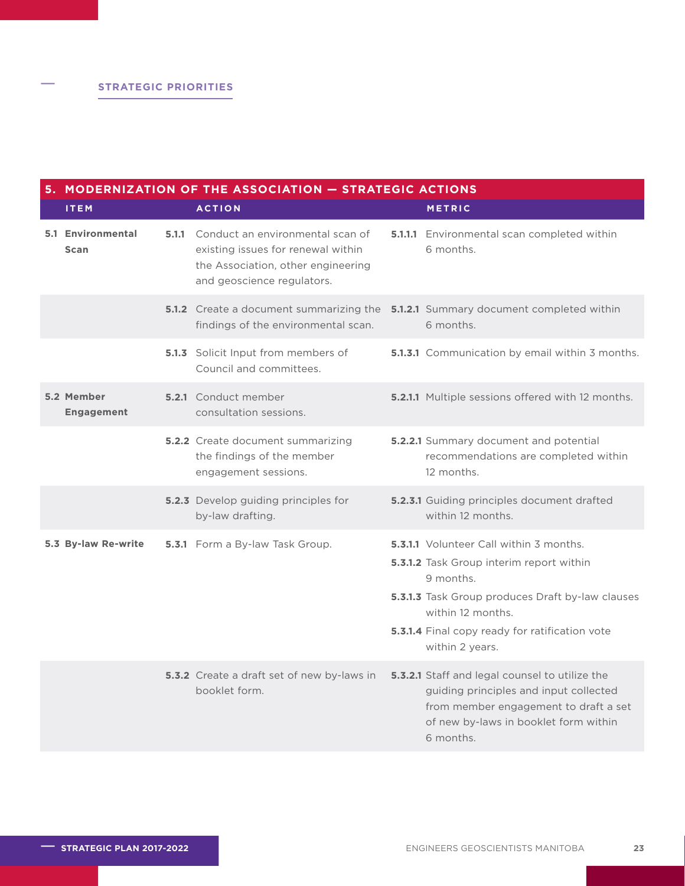|  | 5. MODERNIZATION OF THE ASSOCIATION - STRATEGIC ACTIONS |  |                                                                                                                                                         |               |                                                                                                                                                                                                                                                       |  |
|--|---------------------------------------------------------|--|---------------------------------------------------------------------------------------------------------------------------------------------------------|---------------|-------------------------------------------------------------------------------------------------------------------------------------------------------------------------------------------------------------------------------------------------------|--|
|  | <b>ITEM</b>                                             |  | <b>ACTION</b>                                                                                                                                           | <b>METRIC</b> |                                                                                                                                                                                                                                                       |  |
|  | 5.1 Environmental<br><b>Scan</b>                        |  | <b>5.1.1</b> Conduct an environmental scan of<br>existing issues for renewal within<br>the Association, other engineering<br>and geoscience regulators. |               | <b>5.1.1.1</b> Environmental scan completed within<br>6 months.                                                                                                                                                                                       |  |
|  |                                                         |  | findings of the environmental scan.                                                                                                                     |               | 5.1.2 Create a document summarizing the 5.1.2.1 Summary document completed within<br>6 months.                                                                                                                                                        |  |
|  |                                                         |  | 5.1.3 Solicit Input from members of<br>Council and committees.                                                                                          |               | 5.1.3.1 Communication by email within 3 months.                                                                                                                                                                                                       |  |
|  | 5.2 Member<br><b>Engagement</b>                         |  | 5.2.1 Conduct member<br>consultation sessions.                                                                                                          |               | 5.2.1.1 Multiple sessions offered with 12 months.                                                                                                                                                                                                     |  |
|  |                                                         |  | 5.2.2 Create document summarizing<br>the findings of the member<br>engagement sessions.                                                                 |               | 5.2.2.1 Summary document and potential<br>recommendations are completed within<br>12 months.                                                                                                                                                          |  |
|  |                                                         |  | 5.2.3 Develop guiding principles for<br>by-law drafting.                                                                                                |               | 5.2.3.1 Guiding principles document drafted<br>within 12 months.                                                                                                                                                                                      |  |
|  | 5.3 By-law Re-write                                     |  | 5.3.1 Form a By-law Task Group.                                                                                                                         |               | <b>5.3.1.1</b> Volunteer Call within 3 months.<br>5.3.1.2 Task Group interim report within<br>9 months.<br>5.3.1.3 Task Group produces Draft by-law clauses<br>within 12 months.<br>5.3.1.4 Final copy ready for ratification vote<br>within 2 years. |  |
|  |                                                         |  | 5.3.2 Create a draft set of new by-laws in<br>booklet form.                                                                                             |               | 5.3.2.1 Staff and legal counsel to utilize the<br>guiding principles and input collected<br>from member engagement to draft a set<br>of new by-laws in booklet form within<br>6 months.                                                               |  |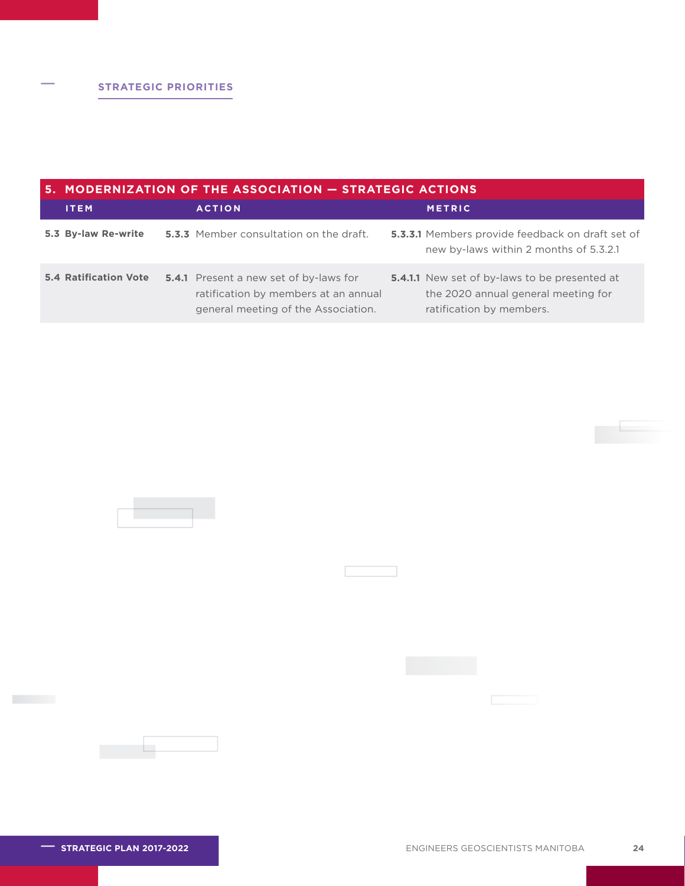| 5. MODERNIZATION OF THE ASSOCIATION - STRATEGIC ACTIONS |  |                                                                                                                              |  |                                                                                                                         |
|---------------------------------------------------------|--|------------------------------------------------------------------------------------------------------------------------------|--|-------------------------------------------------------------------------------------------------------------------------|
| <b>ITEM</b>                                             |  | <b>ACTION</b>                                                                                                                |  | <b>METRIC</b>                                                                                                           |
| 5.3 By-law Re-write                                     |  | <b>5.3.3</b> Member consultation on the draft.                                                                               |  | <b>5.3.3.1</b> Members provide feedback on draft set of<br>new by-laws within 2 months of 5.3.2.1                       |
| <b>5.4 Ratification Vote</b>                            |  | <b>5.4.1</b> Present a new set of by-laws for<br>ratification by members at an annual<br>general meeting of the Association. |  | <b>5.4.1.1</b> New set of by-laws to be presented at<br>the 2020 annual general meeting for<br>ratification by members. |



**Contract Contract**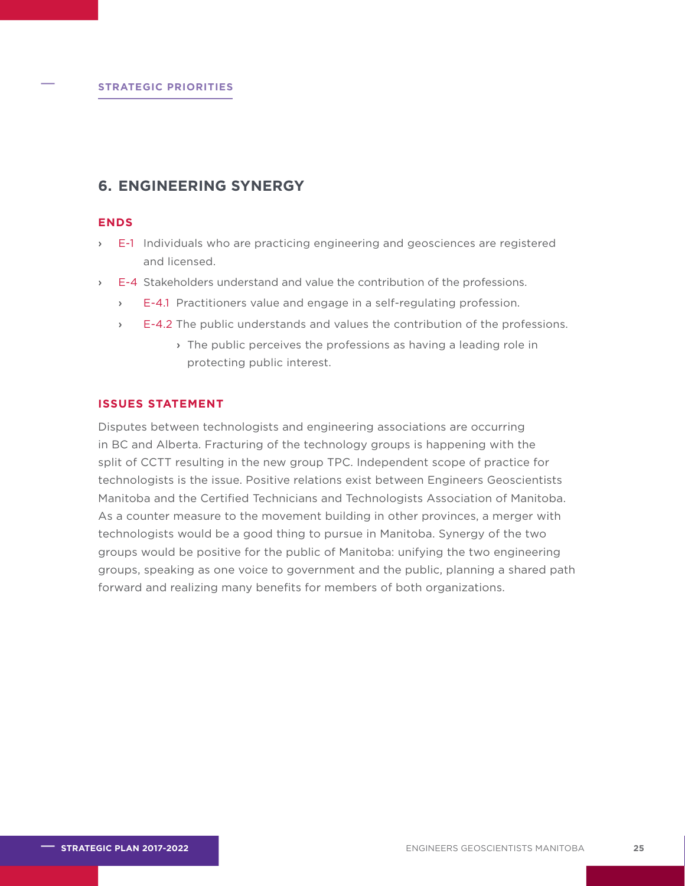### **6. ENGINEERING SYNERGY**

#### **ENDS**

**—**

- › E-1 Individuals who are practicing engineering and geosciences are registered and licensed.
- E-4 Stakeholders understand and value the contribution of the professions.
	- › E-4.1 Practitioners value and engage in a self-regulating profession.
	- $\rightarrow$  E-4.2 The public understands and values the contribution of the professions.
		- › The public perceives the professions as having a leading role in protecting public interest.

#### **ISSUES STATEMENT**

Disputes between technologists and engineering associations are occurring in BC and Alberta. Fracturing of the technology groups is happening with the split of CCTT resulting in the new group TPC. Independent scope of practice for technologists is the issue. Positive relations exist between Engineers Geoscientists Manitoba and the Certified Technicians and Technologists Association of Manitoba. As a counter measure to the movement building in other provinces, a merger with technologists would be a good thing to pursue in Manitoba. Synergy of the two groups would be positive for the public of Manitoba: unifying the two engineering groups, speaking as one voice to government and the public, planning a shared path forward and realizing many benefits for members of both organizations.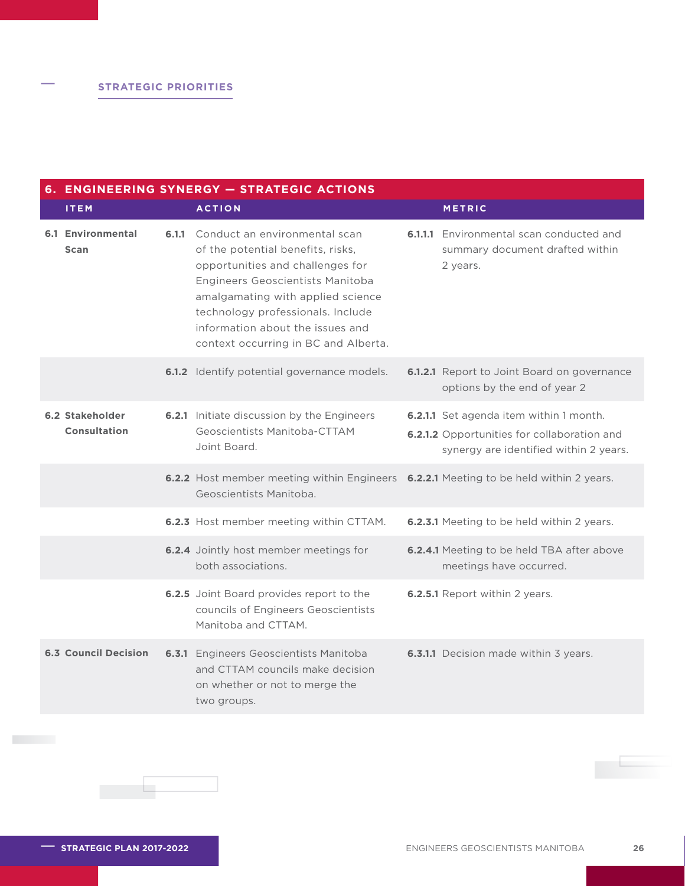|                                  |                                 |  | 6. ENGINEERING SYNERGY - STRATEGIC ACTIONS                                                                                                                                                                                                                                                                    |               |                                                                                                                                  |  |
|----------------------------------|---------------------------------|--|---------------------------------------------------------------------------------------------------------------------------------------------------------------------------------------------------------------------------------------------------------------------------------------------------------------|---------------|----------------------------------------------------------------------------------------------------------------------------------|--|
|                                  | <b>ITEM</b>                     |  | <b>ACTION</b>                                                                                                                                                                                                                                                                                                 | <b>METRIC</b> |                                                                                                                                  |  |
| 6.1 Environmental<br><b>Scan</b> |                                 |  | <b>6.1.1</b> Conduct an environmental scan<br>of the potential benefits, risks,<br>opportunities and challenges for<br>Engineers Geoscientists Manitoba<br>amalgamating with applied science<br>technology professionals. Include<br>information about the issues and<br>context occurring in BC and Alberta. |               | <b>6.1.1.1</b> Environmental scan conducted and<br>summary document drafted within<br>2 years.                                   |  |
|                                  |                                 |  | 6.1.2 Identify potential governance models.                                                                                                                                                                                                                                                                   |               | 6.1.2.1 Report to Joint Board on governance<br>options by the end of year 2                                                      |  |
|                                  | 6.2 Stakeholder<br>Consultation |  | 6.2.1 Initiate discussion by the Engineers<br>Geoscientists Manitoba-CTTAM<br>Joint Board.                                                                                                                                                                                                                    |               | 6.2.1.1 Set agenda item within 1 month.<br>6.2.1.2 Opportunities for collaboration and<br>synergy are identified within 2 years. |  |
|                                  |                                 |  | 6.2.2 Host member meeting within Engineers 6.2.2.1 Meeting to be held within 2 years.<br>Geoscientists Manitoba.                                                                                                                                                                                              |               |                                                                                                                                  |  |
|                                  |                                 |  | 6.2.3 Host member meeting within CTTAM.                                                                                                                                                                                                                                                                       |               | 6.2.3.1 Meeting to be held within 2 years.                                                                                       |  |
|                                  |                                 |  | 6.2.4 Jointly host member meetings for<br>both associations.                                                                                                                                                                                                                                                  |               | 6.2.4.1 Meeting to be held TBA after above<br>meetings have occurred.                                                            |  |
|                                  |                                 |  | 6.2.5 Joint Board provides report to the<br>councils of Engineers Geoscientists<br>Manitoba and CTTAM.                                                                                                                                                                                                        |               | 6.2.5.1 Report within 2 years.                                                                                                   |  |
|                                  | <b>6.3 Council Decision</b>     |  | 6.3.1 Engineers Geoscientists Manitoba<br>and CTTAM councils make decision<br>on whether or not to merge the<br>two groups.                                                                                                                                                                                   |               | 6.3.1.1 Decision made within 3 years.                                                                                            |  |



m ba

**Contract Contract**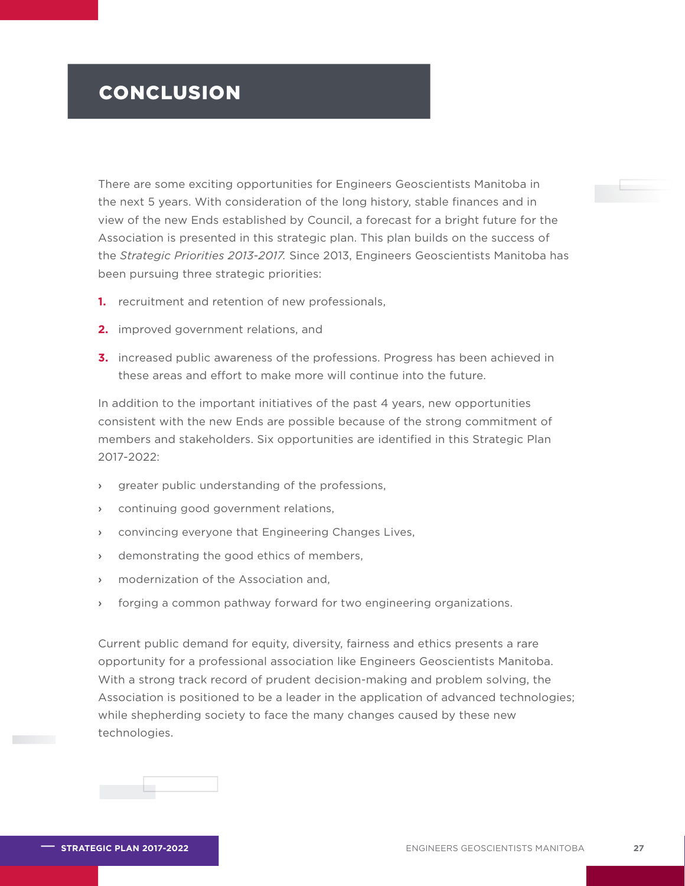# CONCLUSION

There are some exciting opportunities for Engineers Geoscientists Manitoba in the next 5 years. With consideration of the long history, stable finances and in view of the new Ends established by Council, a forecast for a bright future for the Association is presented in this strategic plan. This plan builds on the success of the *Strategic Priorities 2013-2017.* Since 2013, Engineers Geoscientists Manitoba has been pursuing three strategic priorities:

- **1.** recruitment and retention of new professionals,
- **2.** improved government relations, and
- **3.** increased public awareness of the professions. Progress has been achieved in these areas and effort to make more will continue into the future.

In addition to the important initiatives of the past 4 years, new opportunities consistent with the new Ends are possible because of the strong commitment of members and stakeholders. Six opportunities are identified in this Strategic Plan 2017-2022:

- › greater public understanding of the professions,
- › continuing good government relations,
- › convincing everyone that Engineering Changes Lives,
- › demonstrating the good ethics of members,
- › modernization of the Association and,
- › forging a common pathway forward for two engineering organizations.

Current public demand for equity, diversity, fairness and ethics presents a rare opportunity for a professional association like Engineers Geoscientists Manitoba. With a strong track record of prudent decision-making and problem solving, the Association is positioned to be a leader in the application of advanced technologies; while shepherding society to face the many changes caused by these new technologies.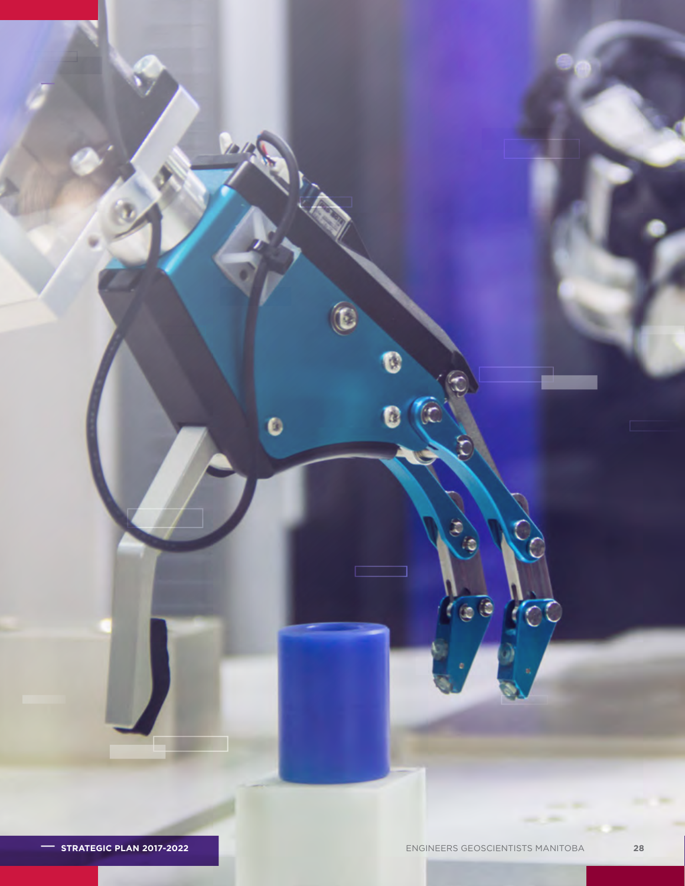**— STRATEGIC PLAN 2017-2022**

**—**

**COO HOO** 

Ċ

o

 $\frac{1}{2} \left( \frac{1}{2} \right) \left( \frac{1}{2} \right) \left( \frac{1}{2} \right) \left( \frac{1}{2} \right)$